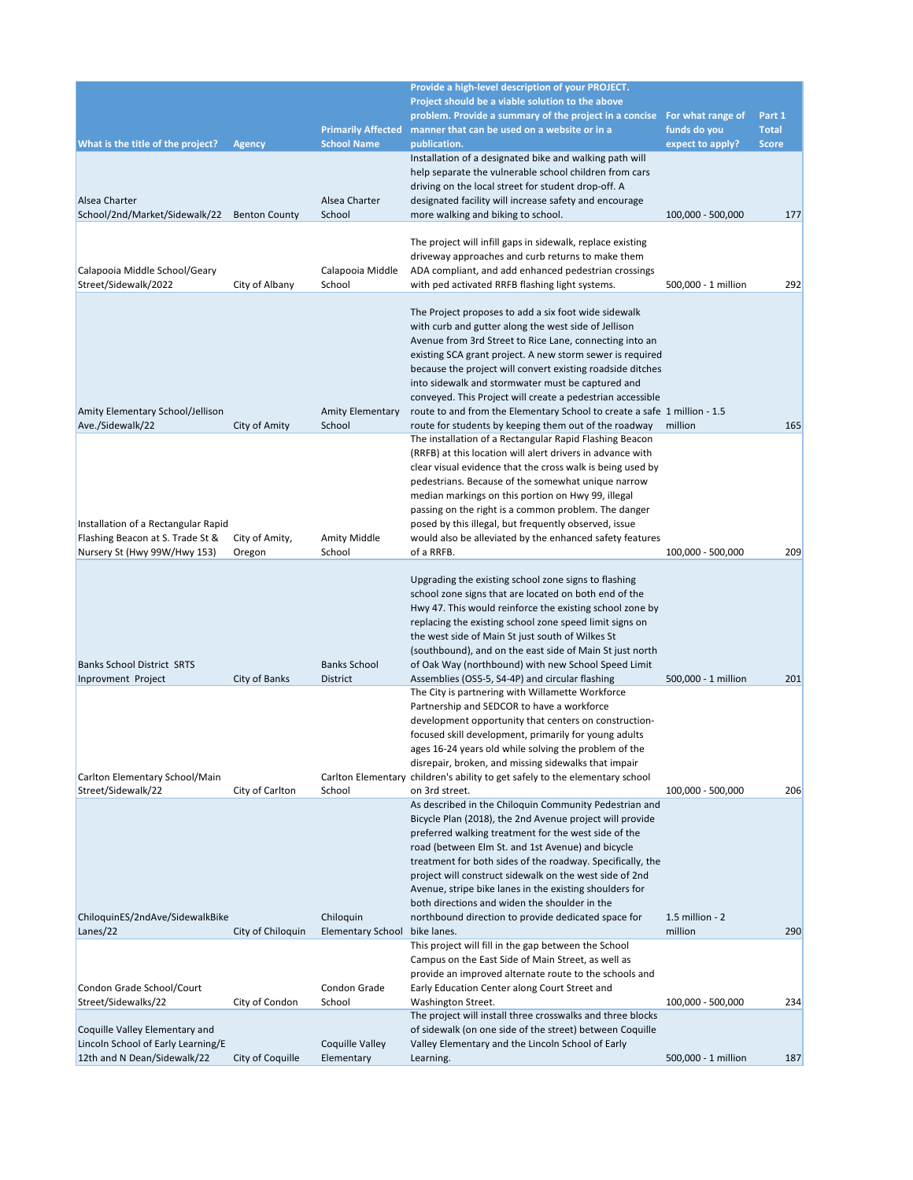|                                                      |                      |                           | Provide a high-level description of your PROJECT.                                                                                      |                                   |                        |
|------------------------------------------------------|----------------------|---------------------------|----------------------------------------------------------------------------------------------------------------------------------------|-----------------------------------|------------------------|
|                                                      |                      |                           | Project should be a viable solution to the above                                                                                       |                                   |                        |
|                                                      |                      | <b>Primarily Affected</b> | problem. Provide a summary of the project in a concise<br>manner that can be used on a website or in a                                 | For what range of<br>funds do you | Part 1<br><b>Total</b> |
| What is the title of the project?                    | <b>Agency</b>        | <b>School Name</b>        | publication.                                                                                                                           | expect to apply?                  | <b>Score</b>           |
|                                                      |                      |                           | Installation of a designated bike and walking path will                                                                                |                                   |                        |
|                                                      |                      |                           | help separate the vulnerable school children from cars                                                                                 |                                   |                        |
|                                                      |                      |                           | driving on the local street for student drop-off. A                                                                                    |                                   |                        |
| Alsea Charter<br>School/2nd/Market/Sidewalk/22       | <b>Benton County</b> | Alsea Charter<br>School   | designated facility will increase safety and encourage<br>more walking and biking to school.                                           | 100,000 - 500,000                 | 177                    |
|                                                      |                      |                           |                                                                                                                                        |                                   |                        |
|                                                      |                      |                           | The project will infill gaps in sidewalk, replace existing                                                                             |                                   |                        |
|                                                      |                      |                           | driveway approaches and curb returns to make them                                                                                      |                                   |                        |
| Calapooia Middle School/Geary                        |                      | Calapooia Middle          | ADA compliant, and add enhanced pedestrian crossings                                                                                   |                                   |                        |
| Street/Sidewalk/2022                                 | City of Albany       | School                    | with ped activated RRFB flashing light systems.                                                                                        | 500,000 - 1 million               | 292                    |
|                                                      |                      |                           | The Project proposes to add a six foot wide sidewalk                                                                                   |                                   |                        |
|                                                      |                      |                           | with curb and gutter along the west side of Jellison                                                                                   |                                   |                        |
|                                                      |                      |                           | Avenue from 3rd Street to Rice Lane, connecting into an                                                                                |                                   |                        |
|                                                      |                      |                           | existing SCA grant project. A new storm sewer is required                                                                              |                                   |                        |
|                                                      |                      |                           | because the project will convert existing roadside ditches                                                                             |                                   |                        |
|                                                      |                      |                           | into sidewalk and stormwater must be captured and                                                                                      |                                   |                        |
| Amity Elementary School/Jellison                     |                      | <b>Amity Elementary</b>   | conveyed. This Project will create a pedestrian accessible<br>route to and from the Elementary School to create a safe 1 million - 1.5 |                                   |                        |
| Ave./Sidewalk/22                                     | City of Amity        | School                    | route for students by keeping them out of the roadway                                                                                  | million                           | 165                    |
|                                                      |                      |                           | The installation of a Rectangular Rapid Flashing Beacon                                                                                |                                   |                        |
|                                                      |                      |                           | (RRFB) at this location will alert drivers in advance with                                                                             |                                   |                        |
|                                                      |                      |                           | clear visual evidence that the cross walk is being used by                                                                             |                                   |                        |
|                                                      |                      |                           | pedestrians. Because of the somewhat unique narrow                                                                                     |                                   |                        |
|                                                      |                      |                           | median markings on this portion on Hwy 99, illegal<br>passing on the right is a common problem. The danger                             |                                   |                        |
| Installation of a Rectangular Rapid                  |                      |                           | posed by this illegal, but frequently observed, issue                                                                                  |                                   |                        |
| Flashing Beacon at S. Trade St &                     | City of Amity,       | Amity Middle              | would also be alleviated by the enhanced safety features                                                                               |                                   |                        |
| Nursery St (Hwy 99W/Hwy 153)                         | Oregon               | School                    | of a RRFB.                                                                                                                             | 100,000 - 500,000                 | 209                    |
|                                                      |                      |                           |                                                                                                                                        |                                   |                        |
|                                                      |                      |                           | Upgrading the existing school zone signs to flashing<br>school zone signs that are located on both end of the                          |                                   |                        |
|                                                      |                      |                           | Hwy 47. This would reinforce the existing school zone by                                                                               |                                   |                        |
|                                                      |                      |                           | replacing the existing school zone speed limit signs on                                                                                |                                   |                        |
|                                                      |                      |                           | the west side of Main St just south of Wilkes St                                                                                       |                                   |                        |
|                                                      |                      |                           | (southbound), and on the east side of Main St just north                                                                               |                                   |                        |
| <b>Banks School District SRTS</b>                    |                      | <b>Banks School</b>       | of Oak Way (northbound) with new School Speed Limit                                                                                    |                                   |                        |
| Inprovment Project                                   | City of Banks        | District                  | Assemblies (OS5-5, S4-4P) and circular flashing<br>The City is partnering with Willamette Workforce                                    | 500,000 - 1 million               | 201                    |
|                                                      |                      |                           | Partnership and SEDCOR to have a workforce                                                                                             |                                   |                        |
|                                                      |                      |                           | development opportunity that centers on construction-                                                                                  |                                   |                        |
|                                                      |                      |                           | focused skill development, primarily for young adults                                                                                  |                                   |                        |
|                                                      |                      |                           | ages 16-24 years old while solving the problem of the                                                                                  |                                   |                        |
|                                                      |                      |                           | disrepair, broken, and missing sidewalks that impair                                                                                   |                                   |                        |
| Carlton Elementary School/Main<br>Street/Sidewalk/22 | City of Carlton      | School                    | Carlton Elementary children's ability to get safely to the elementary school<br>on 3rd street.                                         | 100,000 - 500,000                 | 206                    |
|                                                      |                      |                           | As described in the Chiloquin Community Pedestrian and                                                                                 |                                   |                        |
|                                                      |                      |                           | Bicycle Plan (2018), the 2nd Avenue project will provide                                                                               |                                   |                        |
|                                                      |                      |                           | preferred walking treatment for the west side of the                                                                                   |                                   |                        |
|                                                      |                      |                           | road (between Elm St. and 1st Avenue) and bicycle                                                                                      |                                   |                        |
|                                                      |                      |                           | treatment for both sides of the roadway. Specifically, the<br>project will construct sidewalk on the west side of 2nd                  |                                   |                        |
|                                                      |                      |                           | Avenue, stripe bike lanes in the existing shoulders for                                                                                |                                   |                        |
|                                                      |                      |                           | both directions and widen the shoulder in the                                                                                          |                                   |                        |
| ChiloquinES/2ndAve/SidewalkBike                      |                      | Chiloquin                 | northbound direction to provide dedicated space for                                                                                    | $1.5$ million - $2$               |                        |
| Lanes/22                                             | City of Chiloguin    | <b>Elementary School</b>  | bike lanes.                                                                                                                            | million                           | 290                    |
|                                                      |                      |                           | This project will fill in the gap between the School                                                                                   |                                   |                        |
|                                                      |                      |                           | Campus on the East Side of Main Street, as well as<br>provide an improved alternate route to the schools and                           |                                   |                        |
| Condon Grade School/Court                            |                      | Condon Grade              | Early Education Center along Court Street and                                                                                          |                                   |                        |
| Street/Sidewalks/22                                  | City of Condon       | School                    | Washington Street.                                                                                                                     | 100,000 - 500,000                 | 234                    |
|                                                      |                      |                           | The project will install three crosswalks and three blocks                                                                             |                                   |                        |
| Coquille Valley Elementary and                       |                      |                           | of sidewalk (on one side of the street) between Coquille                                                                               |                                   |                        |
| Lincoln School of Early Learning/E                   |                      | Coquille Valley           | Valley Elementary and the Lincoln School of Early                                                                                      |                                   |                        |
| 12th and N Dean/Sidewalk/22                          | City of Coquille     | Elementary                | Learning.                                                                                                                              | 500,000 - 1 million               | 187                    |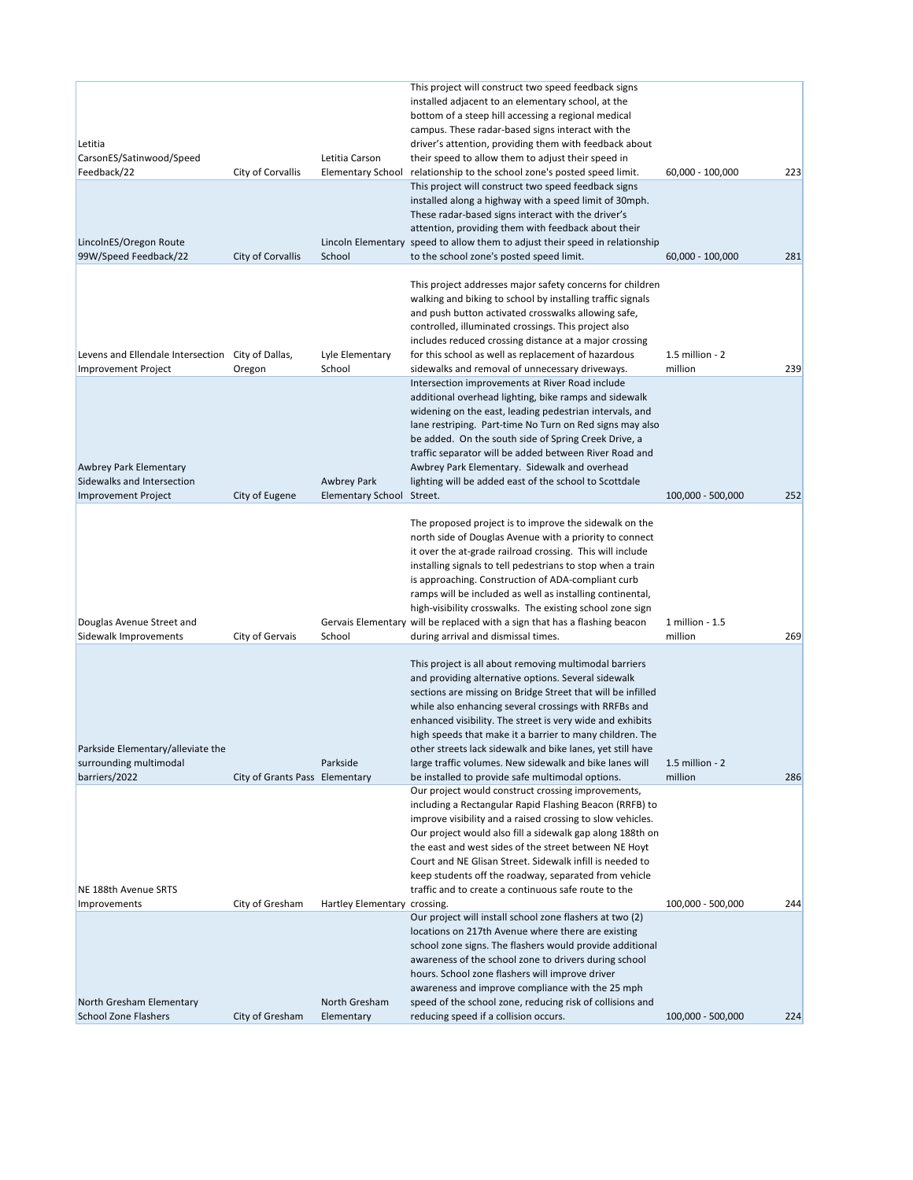|                                                   |                                |                              | This project will construct two speed feedback signs                                                                  |                   |     |
|---------------------------------------------------|--------------------------------|------------------------------|-----------------------------------------------------------------------------------------------------------------------|-------------------|-----|
|                                                   |                                |                              | installed adjacent to an elementary school, at the                                                                    |                   |     |
|                                                   |                                |                              | bottom of a steep hill accessing a regional medical                                                                   |                   |     |
| Letitia                                           |                                |                              | campus. These radar-based signs interact with the<br>driver's attention, providing them with feedback about           |                   |     |
| CarsonES/Satinwood/Speed                          |                                | Letitia Carson               | their speed to allow them to adjust their speed in                                                                    |                   |     |
| Feedback/22                                       | City of Corvallis              | <b>Elementary School</b>     | relationship to the school zone's posted speed limit.                                                                 | 60,000 - 100,000  | 223 |
|                                                   |                                |                              | This project will construct two speed feedback signs                                                                  |                   |     |
|                                                   |                                |                              | installed along a highway with a speed limit of 30mph.                                                                |                   |     |
|                                                   |                                |                              | These radar-based signs interact with the driver's                                                                    |                   |     |
|                                                   |                                |                              | attention, providing them with feedback about their                                                                   |                   |     |
| LincolnES/Oregon Route                            |                                |                              | Lincoln Elementary speed to allow them to adjust their speed in relationship                                          |                   |     |
| 99W/Speed Feedback/22                             | City of Corvallis              | School                       | to the school zone's posted speed limit.                                                                              | 60,000 - 100,000  | 281 |
|                                                   |                                |                              |                                                                                                                       |                   |     |
|                                                   |                                |                              | This project addresses major safety concerns for children                                                             |                   |     |
|                                                   |                                |                              | walking and biking to school by installing traffic signals                                                            |                   |     |
|                                                   |                                |                              | and push button activated crosswalks allowing safe,                                                                   |                   |     |
|                                                   |                                |                              | controlled, illuminated crossings. This project also<br>includes reduced crossing distance at a major crossing        |                   |     |
| Levens and Ellendale Intersection City of Dallas, |                                | Lyle Elementary              | for this school as well as replacement of hazardous                                                                   | 1.5 million - 2   |     |
| <b>Improvement Project</b>                        | Oregon                         | School                       | sidewalks and removal of unnecessary driveways.                                                                       | million           | 239 |
|                                                   |                                |                              | Intersection improvements at River Road include                                                                       |                   |     |
|                                                   |                                |                              | additional overhead lighting, bike ramps and sidewalk                                                                 |                   |     |
|                                                   |                                |                              | widening on the east, leading pedestrian intervals, and                                                               |                   |     |
|                                                   |                                |                              | lane restriping. Part-time No Turn on Red signs may also                                                              |                   |     |
|                                                   |                                |                              | be added. On the south side of Spring Creek Drive, a                                                                  |                   |     |
|                                                   |                                |                              | traffic separator will be added between River Road and                                                                |                   |     |
| <b>Awbrey Park Elementary</b>                     |                                |                              | Awbrey Park Elementary. Sidewalk and overhead                                                                         |                   |     |
| Sidewalks and Intersection                        |                                | <b>Awbrey Park</b>           | lighting will be added east of the school to Scottdale                                                                |                   |     |
| <b>Improvement Project</b>                        | City of Eugene                 | <b>Elementary School</b>     | Street.                                                                                                               | 100,000 - 500,000 | 252 |
|                                                   |                                |                              |                                                                                                                       |                   |     |
|                                                   |                                |                              | The proposed project is to improve the sidewalk on the                                                                |                   |     |
|                                                   |                                |                              | north side of Douglas Avenue with a priority to connect<br>it over the at-grade railroad crossing. This will include  |                   |     |
|                                                   |                                |                              | installing signals to tell pedestrians to stop when a train                                                           |                   |     |
|                                                   |                                |                              | is approaching. Construction of ADA-compliant curb                                                                    |                   |     |
|                                                   |                                |                              | ramps will be included as well as installing continental,                                                             |                   |     |
|                                                   |                                |                              | high-visibility crosswalks. The existing school zone sign                                                             |                   |     |
| Douglas Avenue Street and                         |                                |                              | Gervais Elementary will be replaced with a sign that has a flashing beacon                                            | 1 million - 1.5   |     |
| Sidewalk Improvements                             | City of Gervais                | School                       | during arrival and dismissal times.                                                                                   | million           | 269 |
|                                                   |                                |                              |                                                                                                                       |                   |     |
|                                                   |                                |                              | This project is all about removing multimodal barriers                                                                |                   |     |
|                                                   |                                |                              | and providing alternative options. Several sidewalk                                                                   |                   |     |
|                                                   |                                |                              | sections are missing on Bridge Street that will be infilled                                                           |                   |     |
|                                                   |                                |                              | while also enhancing several crossings with RRFBs and                                                                 |                   |     |
|                                                   |                                |                              | enhanced visibility. The street is very wide and exhibits<br>high speeds that make it a barrier to many children. The |                   |     |
| Parkside Elementary/alleviate the                 |                                |                              | other streets lack sidewalk and bike lanes, yet still have                                                            |                   |     |
| surrounding multimodal                            |                                | Parkside                     | large traffic volumes. New sidewalk and bike lanes will                                                               | 1.5 million - 2   |     |
| barriers/2022                                     | City of Grants Pass Elementary |                              | be installed to provide safe multimodal options.                                                                      | million           | 286 |
|                                                   |                                |                              | Our project would construct crossing improvements,                                                                    |                   |     |
|                                                   |                                |                              | including a Rectangular Rapid Flashing Beacon (RRFB) to                                                               |                   |     |
|                                                   |                                |                              |                                                                                                                       |                   |     |
|                                                   |                                |                              | improve visibility and a raised crossing to slow vehicles.                                                            |                   |     |
|                                                   |                                |                              | Our project would also fill a sidewalk gap along 188th on                                                             |                   |     |
|                                                   |                                |                              | the east and west sides of the street between NE Hoyt                                                                 |                   |     |
|                                                   |                                |                              | Court and NE Glisan Street. Sidewalk infill is needed to                                                              |                   |     |
|                                                   |                                |                              | keep students off the roadway, separated from vehicle                                                                 |                   |     |
| NE 188th Avenue SRTS                              |                                |                              | traffic and to create a continuous safe route to the                                                                  |                   |     |
| Improvements                                      | City of Gresham                | Hartley Elementary crossing. |                                                                                                                       | 100,000 - 500,000 | 244 |
|                                                   |                                |                              | Our project will install school zone flashers at two (2)                                                              |                   |     |
|                                                   |                                |                              | locations on 217th Avenue where there are existing                                                                    |                   |     |
|                                                   |                                |                              | school zone signs. The flashers would provide additional                                                              |                   |     |
|                                                   |                                |                              | awareness of the school zone to drivers during school                                                                 |                   |     |
|                                                   |                                |                              | hours. School zone flashers will improve driver<br>awareness and improve compliance with the 25 mph                   |                   |     |
| North Gresham Elementary                          |                                | North Gresham                | speed of the school zone, reducing risk of collisions and                                                             |                   |     |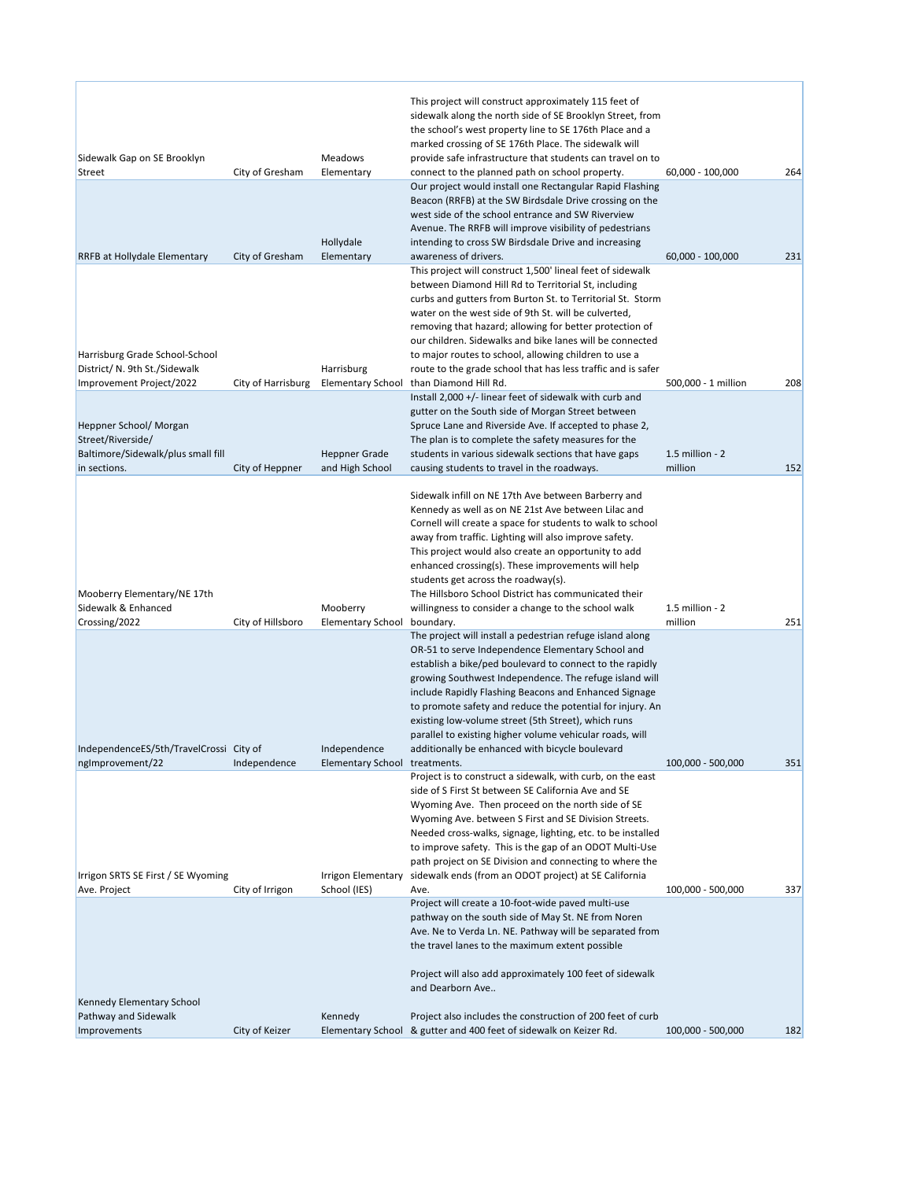|                                                                |                    | Meadows                                 | This project will construct approximately 115 feet of<br>sidewalk along the north side of SE Brooklyn Street, from<br>the school's west property line to SE 176th Place and a<br>marked crossing of SE 176th Place. The sidewalk will<br>provide safe infrastructure that students can travel on to                                                                                                                                                                                                                              |                            |     |
|----------------------------------------------------------------|--------------------|-----------------------------------------|----------------------------------------------------------------------------------------------------------------------------------------------------------------------------------------------------------------------------------------------------------------------------------------------------------------------------------------------------------------------------------------------------------------------------------------------------------------------------------------------------------------------------------|----------------------------|-----|
| Sidewalk Gap on SE Brooklyn<br><b>Street</b>                   | City of Gresham    | Elementary                              | connect to the planned path on school property.                                                                                                                                                                                                                                                                                                                                                                                                                                                                                  | 60,000 - 100,000           | 264 |
|                                                                |                    | Hollydale                               | Our project would install one Rectangular Rapid Flashing<br>Beacon (RRFB) at the SW Birdsdale Drive crossing on the<br>west side of the school entrance and SW Riverview<br>Avenue. The RRFB will improve visibility of pedestrians<br>intending to cross SW Birdsdale Drive and increasing                                                                                                                                                                                                                                      |                            |     |
| RRFB at Hollydale Elementary<br>Harrisburg Grade School-School | City of Gresham    | Elementary                              | awareness of drivers.<br>This project will construct 1,500' lineal feet of sidewalk<br>between Diamond Hill Rd to Territorial St, including<br>curbs and gutters from Burton St. to Territorial St. Storm<br>water on the west side of 9th St. will be culverted,<br>removing that hazard; allowing for better protection of<br>our children. Sidewalks and bike lanes will be connected<br>to major routes to school, allowing children to use a                                                                                | 60,000 - 100,000           | 231 |
| District/ N. 9th St./Sidewalk<br>Improvement Project/2022      | City of Harrisburg | Harrisburg<br><b>Elementary School</b>  | route to the grade school that has less traffic and is safer<br>than Diamond Hill Rd.                                                                                                                                                                                                                                                                                                                                                                                                                                            | 500,000 - 1 million        | 208 |
| Heppner School/ Morgan<br>Street/Riverside/                    |                    |                                         | Install $2,000 +$ /- linear feet of sidewalk with curb and<br>gutter on the South side of Morgan Street between<br>Spruce Lane and Riverside Ave. If accepted to phase 2,<br>The plan is to complete the safety measures for the                                                                                                                                                                                                                                                                                                 |                            |     |
| Baltimore/Sidewalk/plus small fill<br>in sections.             | City of Heppner    | <b>Heppner Grade</b><br>and High School | students in various sidewalk sections that have gaps<br>causing students to travel in the roadways.                                                                                                                                                                                                                                                                                                                                                                                                                              | 1.5 million - 2<br>million | 152 |
| Mooberry Elementary/NE 17th<br>Sidewalk & Enhanced             |                    | Mooberry                                | Sidewalk infill on NE 17th Ave between Barberry and<br>Kennedy as well as on NE 21st Ave between Lilac and<br>Cornell will create a space for students to walk to school<br>away from traffic. Lighting will also improve safety.<br>This project would also create an opportunity to add<br>enhanced crossing(s). These improvements will help<br>students get across the roadway(s).<br>The Hillsboro School District has communicated their<br>willingness to consider a change to the school walk                            | 1.5 million - 2            |     |
| Crossing/2022                                                  | City of Hillsboro  | <b>Elementary School</b>                | boundary.                                                                                                                                                                                                                                                                                                                                                                                                                                                                                                                        | million                    | 251 |
| IndependenceES/5th/TravelCrossi City of                        |                    | Independence                            | The project will install a pedestrian refuge island along<br>OR-51 to serve Independence Elementary School and<br>establish a bike/ped boulevard to connect to the rapidly<br>growing Southwest Independence. The refuge island will<br>include Rapidly Flashing Beacons and Enhanced Signage<br>to promote safety and reduce the potential for injury. An<br>existing low-volume street (5th Street), which runs<br>parallel to existing higher volume vehicular roads, will<br>additionally be enhanced with bicycle boulevard |                            |     |
| ngImprovement/22                                               | Independence       | Elementary School treatments.           |                                                                                                                                                                                                                                                                                                                                                                                                                                                                                                                                  | 100,000 - 500,000          | 351 |
| Irrigon SRTS SE First / SE Wyoming                             |                    | Irrigon Elementary                      | Project is to construct a sidewalk, with curb, on the east<br>side of S First St between SE California Ave and SE<br>Wyoming Ave. Then proceed on the north side of SE<br>Wyoming Ave. between S First and SE Division Streets.<br>Needed cross-walks, signage, lighting, etc. to be installed<br>to improve safety. This is the gap of an ODOT Multi-Use<br>path project on SE Division and connecting to where the<br>sidewalk ends (from an ODOT project) at SE California                                                    |                            |     |
| Ave. Project                                                   | City of Irrigon    | School (IES)                            | Ave.                                                                                                                                                                                                                                                                                                                                                                                                                                                                                                                             | 100,000 - 500,000          | 337 |
| Kennedy Elementary School                                      |                    |                                         | Project will create a 10-foot-wide paved multi-use<br>pathway on the south side of May St. NE from Noren<br>Ave. Ne to Verda Ln. NE. Pathway will be separated from<br>the travel lanes to the maximum extent possible<br>Project will also add approximately 100 feet of sidewalk<br>and Dearborn Ave                                                                                                                                                                                                                           |                            |     |
| Pathway and Sidewalk<br>Improvements                           | City of Keizer     | Kennedy                                 | Project also includes the construction of 200 feet of curb<br>Elementary School & gutter and 400 feet of sidewalk on Keizer Rd.                                                                                                                                                                                                                                                                                                                                                                                                  | 100,000 - 500,000          | 182 |
|                                                                |                    |                                         |                                                                                                                                                                                                                                                                                                                                                                                                                                                                                                                                  |                            |     |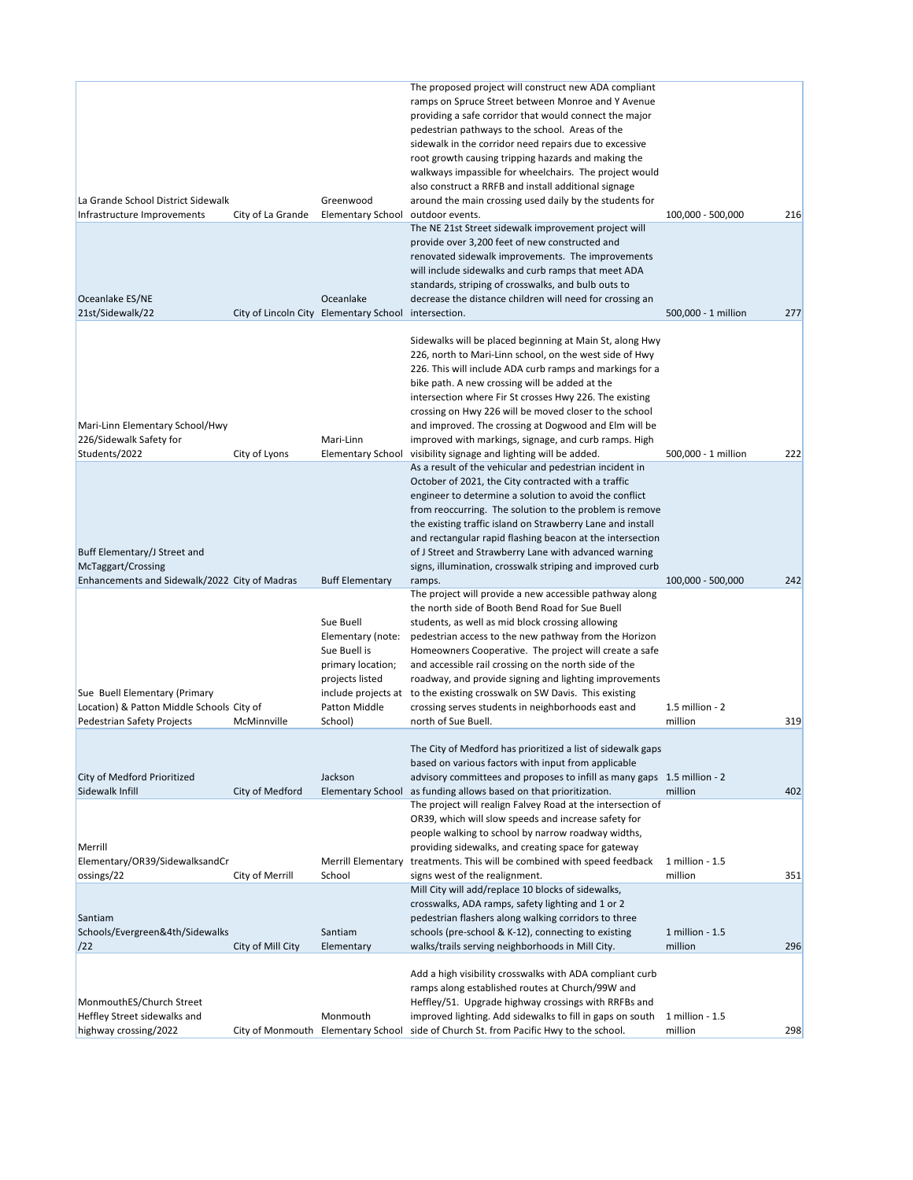| La Grande School District Sidewalk<br>Infrastructure Improvements              | City of La Grande | Greenwood<br>Elementary School                                                                                   | The proposed project will construct new ADA compliant<br>ramps on Spruce Street between Monroe and Y Avenue<br>providing a safe corridor that would connect the major<br>pedestrian pathways to the school. Areas of the<br>sidewalk in the corridor need repairs due to excessive<br>root growth causing tripping hazards and making the<br>walkways impassible for wheelchairs. The project would<br>also construct a RRFB and install additional signage<br>around the main crossing used daily by the students for<br>outdoor events.<br>The NE 21st Street sidewalk improvement project will | 100,000 - 500,000          | 216 |
|--------------------------------------------------------------------------------|-------------------|------------------------------------------------------------------------------------------------------------------|---------------------------------------------------------------------------------------------------------------------------------------------------------------------------------------------------------------------------------------------------------------------------------------------------------------------------------------------------------------------------------------------------------------------------------------------------------------------------------------------------------------------------------------------------------------------------------------------------|----------------------------|-----|
| Oceanlake ES/NE<br>21st/Sidewalk/22                                            |                   | Oceanlake<br>City of Lincoln City Elementary School                                                              | provide over 3,200 feet of new constructed and<br>renovated sidewalk improvements. The improvements<br>will include sidewalks and curb ramps that meet ADA<br>standards, striping of crosswalks, and bulb outs to<br>decrease the distance children will need for crossing an<br>intersection.                                                                                                                                                                                                                                                                                                    | 500,000 - 1 million        | 277 |
| Mari-Linn Elementary School/Hwy<br>226/Sidewalk Safety for                     |                   | Mari-Linn                                                                                                        | Sidewalks will be placed beginning at Main St, along Hwy<br>226, north to Mari-Linn school, on the west side of Hwy<br>226. This will include ADA curb ramps and markings for a<br>bike path. A new crossing will be added at the<br>intersection where Fir St crosses Hwy 226. The existing<br>crossing on Hwy 226 will be moved closer to the school<br>and improved. The crossing at Dogwood and Elm will be<br>improved with markings, signage, and curb ramps. High                                                                                                                          |                            |     |
| Students/2022                                                                  | City of Lyons     | <b>Elementary School</b>                                                                                         | visibility signage and lighting will be added.                                                                                                                                                                                                                                                                                                                                                                                                                                                                                                                                                    | 500,000 - 1 million        | 222 |
| Buff Elementary/J Street and<br>McTaggart/Crossing                             |                   |                                                                                                                  | As a result of the vehicular and pedestrian incident in<br>October of 2021, the City contracted with a traffic<br>engineer to determine a solution to avoid the conflict<br>from reoccurring. The solution to the problem is remove<br>the existing traffic island on Strawberry Lane and install<br>and rectangular rapid flashing beacon at the intersection<br>of J Street and Strawberry Lane with advanced warning<br>signs, illumination, crosswalk striping and improved curb                                                                                                              |                            |     |
| Enhancements and Sidewalk/2022 City of Madras<br>Sue Buell Elementary (Primary |                   | <b>Buff Elementary</b><br>Sue Buell<br>Elementary (note:<br>Sue Buell is<br>primary location;<br>projects listed | ramps.<br>The project will provide a new accessible pathway along<br>the north side of Booth Bend Road for Sue Buell<br>students, as well as mid block crossing allowing<br>pedestrian access to the new pathway from the Horizon<br>Homeowners Cooperative. The project will create a safe<br>and accessible rail crossing on the north side of the<br>roadway, and provide signing and lighting improvements<br>include projects at to the existing crosswalk on SW Davis. This existing                                                                                                        | 100,000 - 500,000          | 242 |
| Location) & Patton Middle Schools City of<br>Pedestrian Safety Projects        | McMinnville       | Patton Middle<br>School)                                                                                         | crossing serves students in neighborhoods east and<br>north of Sue Buell.                                                                                                                                                                                                                                                                                                                                                                                                                                                                                                                         | 1.5 million - 2<br>million | 319 |
| City of Medford Prioritized                                                    |                   | Jackson                                                                                                          | The City of Medford has prioritized a list of sidewalk gaps<br>based on various factors with input from applicable<br>advisory committees and proposes to infill as many gaps 1.5 million - 2                                                                                                                                                                                                                                                                                                                                                                                                     |                            |     |
| Sidewalk Infill                                                                | City of Medford   | <b>Elementary School</b>                                                                                         | as funding allows based on that prioritization.<br>The project will realign Falvey Road at the intersection of<br>OR39, which will slow speeds and increase safety for<br>people walking to school by narrow roadway widths,                                                                                                                                                                                                                                                                                                                                                                      | million                    | 402 |
| Merrill<br>Elementary/OR39/SidewalksandCr                                      |                   | <b>Merrill Elementary</b>                                                                                        | providing sidewalks, and creating space for gateway<br>treatments. This will be combined with speed feedback                                                                                                                                                                                                                                                                                                                                                                                                                                                                                      | 1 million - 1.5            |     |
| ossings/22<br>Santiam                                                          | City of Merrill   | School                                                                                                           | signs west of the realignment.<br>Mill City will add/replace 10 blocks of sidewalks,<br>crosswalks, ADA ramps, safety lighting and 1 or 2<br>pedestrian flashers along walking corridors to three                                                                                                                                                                                                                                                                                                                                                                                                 | million                    | 351 |
| Schools/Evergreen&4th/Sidewalks<br>/22                                         | City of Mill City | Santiam<br>Elementary                                                                                            | schools (pre-school & K-12), connecting to existing<br>walks/trails serving neighborhoods in Mill City.                                                                                                                                                                                                                                                                                                                                                                                                                                                                                           | 1 million - 1.5<br>million | 296 |
| MonmouthES/Church Street<br>Heffley Street sidewalks and                       |                   | Monmouth                                                                                                         | Add a high visibility crosswalks with ADA compliant curb<br>ramps along established routes at Church/99W and<br>Heffley/51. Upgrade highway crossings with RRFBs and<br>improved lighting. Add sidewalks to fill in gaps on south                                                                                                                                                                                                                                                                                                                                                                 | 1 million - 1.5            |     |
| highway crossing/2022                                                          |                   | City of Monmouth Elementary School                                                                               | side of Church St. from Pacific Hwy to the school.                                                                                                                                                                                                                                                                                                                                                                                                                                                                                                                                                | million                    | 298 |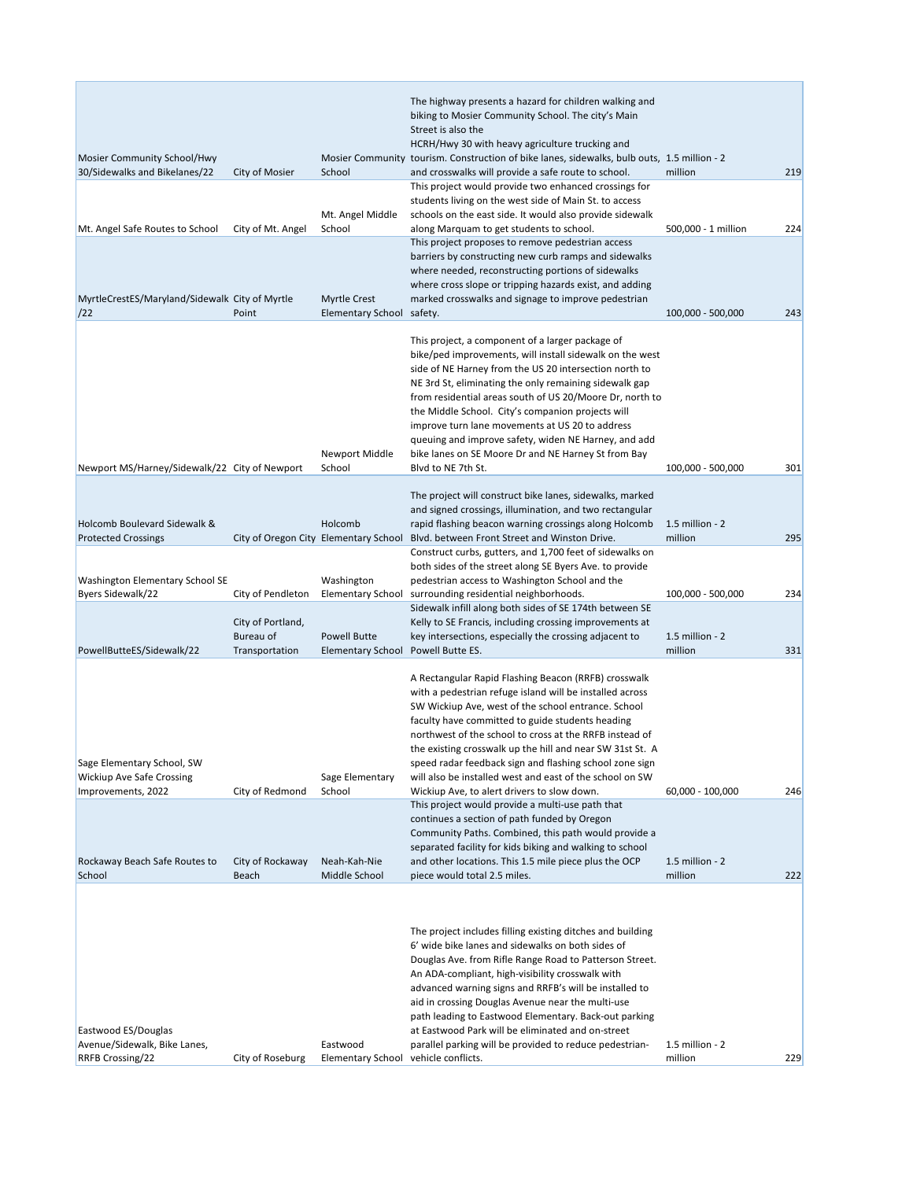|                                                |                             |                                          | The highway presents a hazard for children walking and<br>biking to Mosier Community School. The city's Main        |                              |     |
|------------------------------------------------|-----------------------------|------------------------------------------|---------------------------------------------------------------------------------------------------------------------|------------------------------|-----|
|                                                |                             |                                          | Street is also the                                                                                                  |                              |     |
|                                                |                             |                                          | HCRH/Hwy 30 with heavy agriculture trucking and                                                                     |                              |     |
| Mosier Community School/Hwy                    |                             |                                          | Mosier Community tourism. Construction of bike lanes, sidewalks, bulb outs, 1.5 million - 2                         |                              |     |
| 30/Sidewalks and Bikelanes/22                  | City of Mosier              | School                                   | and crosswalks will provide a safe route to school.<br>This project would provide two enhanced crossings for        | million                      | 219 |
|                                                |                             |                                          | students living on the west side of Main St. to access                                                              |                              |     |
|                                                |                             | Mt. Angel Middle                         | schools on the east side. It would also provide sidewalk                                                            |                              |     |
| Mt. Angel Safe Routes to School                | City of Mt. Angel           | School                                   | along Marquam to get students to school.                                                                            | 500,000 - 1 million          | 224 |
|                                                |                             |                                          | This project proposes to remove pedestrian access<br>barriers by constructing new curb ramps and sidewalks          |                              |     |
|                                                |                             |                                          | where needed, reconstructing portions of sidewalks                                                                  |                              |     |
|                                                |                             |                                          | where cross slope or tripping hazards exist, and adding                                                             |                              |     |
| MyrtleCrestES/Maryland/Sidewalk City of Myrtle |                             | <b>Myrtle Crest</b>                      | marked crosswalks and signage to improve pedestrian                                                                 |                              |     |
| /22                                            | Point                       | Elementary School safety.                |                                                                                                                     | 100,000 - 500,000            | 243 |
|                                                |                             |                                          | This project, a component of a larger package of                                                                    |                              |     |
|                                                |                             |                                          | bike/ped improvements, will install sidewalk on the west                                                            |                              |     |
|                                                |                             |                                          | side of NE Harney from the US 20 intersection north to                                                              |                              |     |
|                                                |                             |                                          | NE 3rd St, eliminating the only remaining sidewalk gap                                                              |                              |     |
|                                                |                             |                                          | from residential areas south of US 20/Moore Dr, north to<br>the Middle School. City's companion projects will       |                              |     |
|                                                |                             |                                          | improve turn lane movements at US 20 to address                                                                     |                              |     |
|                                                |                             |                                          | queuing and improve safety, widen NE Harney, and add                                                                |                              |     |
|                                                |                             | Newport Middle                           | bike lanes on SE Moore Dr and NE Harney St from Bay                                                                 |                              |     |
| Newport MS/Harney/Sidewalk/22 City of Newport  |                             | School                                   | Blvd to NE 7th St.                                                                                                  | 100,000 - 500,000            | 301 |
|                                                |                             |                                          | The project will construct bike lanes, sidewalks, marked                                                            |                              |     |
|                                                |                             |                                          | and signed crossings, illumination, and two rectangular                                                             |                              |     |
| Holcomb Boulevard Sidewalk &                   |                             | Holcomb                                  | rapid flashing beacon warning crossings along Holcomb                                                               | 1.5 million - 2              |     |
| <b>Protected Crossings</b>                     |                             | City of Oregon City Elementary School    | Blvd. between Front Street and Winston Drive.                                                                       | million                      | 295 |
|                                                |                             |                                          | Construct curbs, gutters, and 1,700 feet of sidewalks on<br>both sides of the street along SE Byers Ave. to provide |                              |     |
| Washington Elementary School SE                |                             | Washington                               | pedestrian access to Washington School and the                                                                      |                              |     |
| Byers Sidewalk/22                              | City of Pendleton           | <b>Elementary School</b>                 | surrounding residential neighborhoods.                                                                              | 100,000 - 500,000            | 234 |
|                                                |                             |                                          | Sidewalk infill along both sides of SE 174th between SE                                                             |                              |     |
|                                                | City of Portland,           |                                          | Kelly to SE Francis, including crossing improvements at                                                             |                              |     |
| PowellButteES/Sidewalk/22                      | Bureau of<br>Transportation | <b>Powell Butte</b><br>Elementary School | key intersections, especially the crossing adjacent to<br>Powell Butte ES.                                          | 1.5 million - 2<br>million   | 331 |
|                                                |                             |                                          |                                                                                                                     |                              |     |
|                                                |                             |                                          | A Rectangular Rapid Flashing Beacon (RRFB) crosswalk                                                                |                              |     |
|                                                |                             |                                          | with a pedestrian refuge island will be installed across                                                            |                              |     |
|                                                |                             |                                          | SW Wickiup Ave, west of the school entrance. School<br>faculty have committed to guide students heading             |                              |     |
|                                                |                             |                                          | northwest of the school to cross at the RRFB instead of                                                             |                              |     |
|                                                |                             |                                          | the existing crosswalk up the hill and near SW 31st St. A                                                           |                              |     |
| Sage Elementary School, SW                     |                             |                                          | speed radar feedback sign and flashing school zone sign                                                             |                              |     |
| Wickiup Ave Safe Crossing                      |                             | Sage Elementary                          | will also be installed west and east of the school on SW                                                            |                              |     |
| Improvements, 2022                             | City of Redmond             | School                                   | Wickiup Ave, to alert drivers to slow down.<br>This project would provide a multi-use path that                     | 60,000 - 100,000             | 246 |
|                                                |                             |                                          | continues a section of path funded by Oregon                                                                        |                              |     |
|                                                |                             |                                          | Community Paths. Combined, this path would provide a                                                                |                              |     |
|                                                |                             |                                          | separated facility for kids biking and walking to school                                                            |                              |     |
| Rockaway Beach Safe Routes to<br>School        | City of Rockaway<br>Beach   | Neah-Kah-Nie<br>Middle School            | and other locations. This 1.5 mile piece plus the OCP<br>piece would total 2.5 miles.                               | $1.5$ million - 2<br>million | 222 |
|                                                |                             |                                          |                                                                                                                     |                              |     |
|                                                |                             |                                          |                                                                                                                     |                              |     |
|                                                |                             |                                          |                                                                                                                     |                              |     |
|                                                |                             |                                          | The project includes filling existing ditches and building<br>6' wide bike lanes and sidewalks on both sides of     |                              |     |
|                                                |                             |                                          | Douglas Ave. from Rifle Range Road to Patterson Street.                                                             |                              |     |
|                                                |                             |                                          | An ADA-compliant, high-visibility crosswalk with                                                                    |                              |     |
|                                                |                             |                                          | advanced warning signs and RRFB's will be installed to                                                              |                              |     |
|                                                |                             |                                          | aid in crossing Douglas Avenue near the multi-use                                                                   |                              |     |
| Eastwood ES/Douglas                            |                             |                                          | path leading to Eastwood Elementary. Back-out parking<br>at Eastwood Park will be eliminated and on-street          |                              |     |
| Avenue/Sidewalk, Bike Lanes,                   |                             | Eastwood                                 | parallel parking will be provided to reduce pedestrian-                                                             | 1.5 million - 2              |     |
| RRFB Crossing/22                               | City of Roseburg            | Elementary School vehicle conflicts.     |                                                                                                                     | million                      | 229 |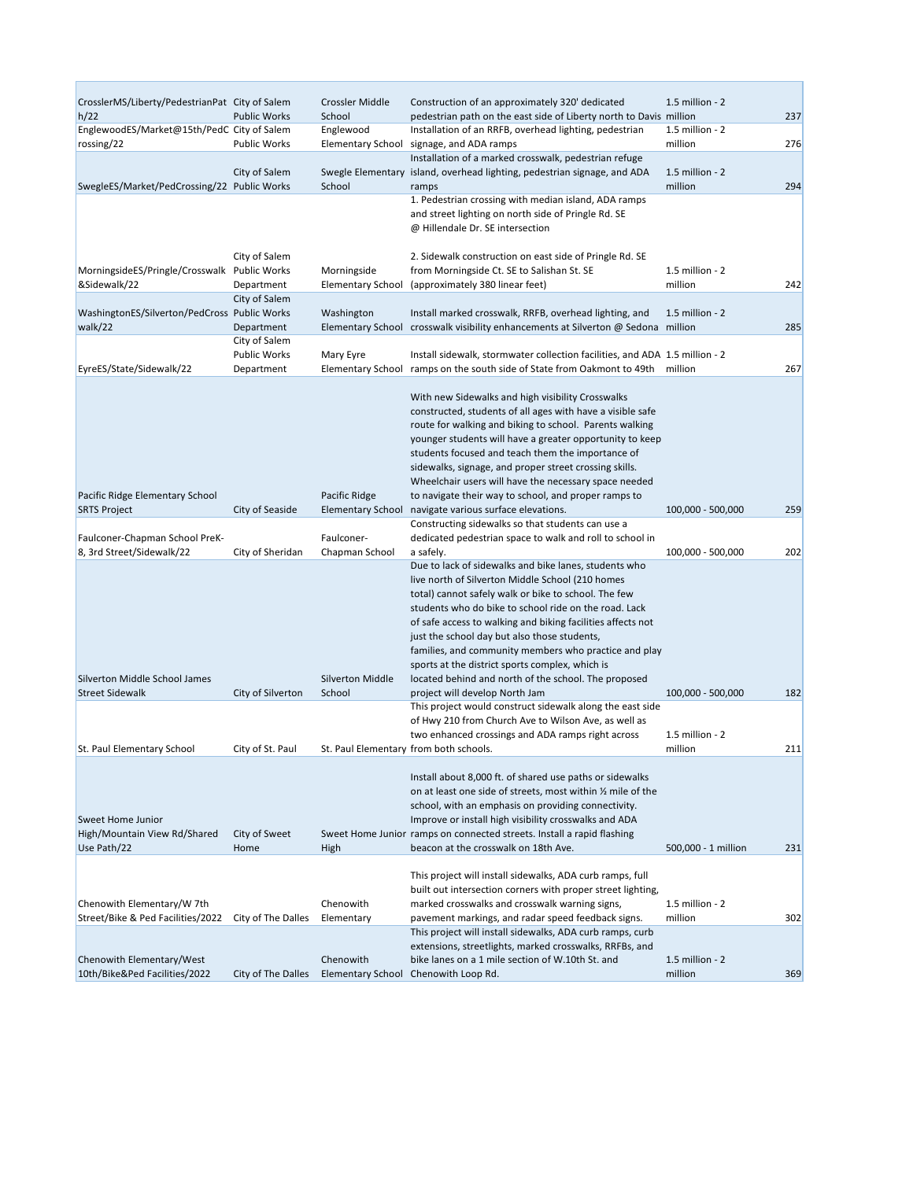| CrosslerMS/Liberty/PedestrianPat City of Salem |                                   | Crossler Middle                       | Construction of an approximately 320' dedicated                                                                                      | 1.5 million - 2            |     |
|------------------------------------------------|-----------------------------------|---------------------------------------|--------------------------------------------------------------------------------------------------------------------------------------|----------------------------|-----|
| h/22                                           | <b>Public Works</b>               | School                                | pedestrian path on the east side of Liberty north to Davis million                                                                   |                            | 237 |
| EnglewoodES/Market@15th/PedC City of Salem     |                                   | Englewood                             | Installation of an RRFB, overhead lighting, pedestrian                                                                               | 1.5 million - 2            |     |
| rossing/22                                     | <b>Public Works</b>               | <b>Elementary School</b>              | signage, and ADA ramps                                                                                                               | million                    | 276 |
|                                                |                                   |                                       | Installation of a marked crosswalk, pedestrian refuge                                                                                |                            |     |
| SwegleES/Market/PedCrossing/22 Public Works    | City of Salem                     | School                                | Swegle Elementary island, overhead lighting, pedestrian signage, and ADA<br>ramps                                                    | 1.5 million - 2<br>million | 294 |
|                                                |                                   |                                       | 1. Pedestrian crossing with median island, ADA ramps                                                                                 |                            |     |
|                                                |                                   |                                       | and street lighting on north side of Pringle Rd. SE                                                                                  |                            |     |
|                                                |                                   |                                       | @ Hillendale Dr. SE intersection                                                                                                     |                            |     |
|                                                |                                   |                                       |                                                                                                                                      |                            |     |
|                                                | City of Salem                     |                                       | 2. Sidewalk construction on east side of Pringle Rd. SE                                                                              |                            |     |
| MorningsideES/Pringle/Crosswalk Public Works   |                                   | Morningside                           | from Morningside Ct. SE to Salishan St. SE                                                                                           | 1.5 million - 2            |     |
| &Sidewalk/22                                   | Department                        | <b>Elementary School</b>              | (approximately 380 linear feet)                                                                                                      | million                    | 242 |
|                                                | City of Salem                     |                                       |                                                                                                                                      |                            |     |
| WashingtonES/Silverton/PedCross Public Works   |                                   | Washington                            | Install marked crosswalk, RRFB, overhead lighting, and                                                                               | $1.5$ million - $2$        |     |
| walk/22                                        | Department                        |                                       | Elementary School crosswalk visibility enhancements at Silverton @ Sedona million                                                    |                            | 285 |
|                                                | City of Salem                     |                                       |                                                                                                                                      |                            |     |
| EyreES/State/Sidewalk/22                       | <b>Public Works</b><br>Department | Mary Eyre<br><b>Elementary School</b> | Install sidewalk, stormwater collection facilities, and ADA 1.5 million - 2<br>ramps on the south side of State from Oakmont to 49th | million                    | 267 |
|                                                |                                   |                                       |                                                                                                                                      |                            |     |
|                                                |                                   |                                       | With new Sidewalks and high visibility Crosswalks                                                                                    |                            |     |
|                                                |                                   |                                       | constructed, students of all ages with have a visible safe                                                                           |                            |     |
|                                                |                                   |                                       | route for walking and biking to school. Parents walking                                                                              |                            |     |
|                                                |                                   |                                       | younger students will have a greater opportunity to keep                                                                             |                            |     |
|                                                |                                   |                                       | students focused and teach them the importance of                                                                                    |                            |     |
|                                                |                                   |                                       | sidewalks, signage, and proper street crossing skills.                                                                               |                            |     |
|                                                |                                   |                                       | Wheelchair users will have the necessary space needed                                                                                |                            |     |
| Pacific Ridge Elementary School                |                                   | Pacific Ridge                         | to navigate their way to school, and proper ramps to                                                                                 |                            |     |
| <b>SRTS Project</b>                            | City of Seaside                   | <b>Elementary School</b>              | navigate various surface elevations.                                                                                                 | 100,000 - 500,000          | 259 |
|                                                |                                   |                                       | Constructing sidewalks so that students can use a                                                                                    |                            |     |
| Faulconer-Chapman School PreK-                 |                                   | Faulconer-                            | dedicated pedestrian space to walk and roll to school in                                                                             |                            |     |
| 8, 3rd Street/Sidewalk/22                      | City of Sheridan                  | Chapman School                        | a safely.                                                                                                                            | 100,000 - 500,000          | 202 |
|                                                |                                   |                                       | Due to lack of sidewalks and bike lanes, students who                                                                                |                            |     |
|                                                |                                   |                                       | live north of Silverton Middle School (210 homes                                                                                     |                            |     |
|                                                |                                   |                                       | total) cannot safely walk or bike to school. The few<br>students who do bike to school ride on the road. Lack                        |                            |     |
|                                                |                                   |                                       | of safe access to walking and biking facilities affects not                                                                          |                            |     |
|                                                |                                   |                                       | just the school day but also those students,                                                                                         |                            |     |
|                                                |                                   |                                       | families, and community members who practice and play                                                                                |                            |     |
|                                                |                                   |                                       | sports at the district sports complex, which is                                                                                      |                            |     |
| Silverton Middle School James                  |                                   | <b>Silverton Middle</b>               | located behind and north of the school. The proposed                                                                                 |                            |     |
| <b>Street Sidewalk</b>                         | City of Silverton                 | School                                | project will develop North Jam                                                                                                       | 100,000 - 500,000          | 182 |
|                                                |                                   |                                       | This project would construct sidewalk along the east side                                                                            |                            |     |
|                                                |                                   |                                       | of Hwy 210 from Church Ave to Wilson Ave, as well as                                                                                 |                            |     |
|                                                |                                   |                                       | two enhanced crossings and ADA ramps right across                                                                                    | 1.5 million - 2            |     |
| St. Paul Elementary School                     | City of St. Paul                  |                                       | St. Paul Elementary from both schools.                                                                                               | million                    | 211 |
|                                                |                                   |                                       |                                                                                                                                      |                            |     |
|                                                |                                   |                                       | Install about 8,000 ft. of shared use paths or sidewalks<br>on at least one side of streets, most within 1/2 mile of the             |                            |     |
|                                                |                                   |                                       | school, with an emphasis on providing connectivity.                                                                                  |                            |     |
| <b>Sweet Home Junior</b>                       |                                   |                                       | Improve or install high visibility crosswalks and ADA                                                                                |                            |     |
| High/Mountain View Rd/Shared                   | City of Sweet                     |                                       | Sweet Home Junior ramps on connected streets. Install a rapid flashing                                                               |                            |     |
| Use Path/22                                    | Home                              | High                                  | beacon at the crosswalk on 18th Ave.                                                                                                 | 500,000 - 1 million        | 231 |
|                                                |                                   |                                       |                                                                                                                                      |                            |     |
|                                                |                                   |                                       | This project will install sidewalks, ADA curb ramps, full                                                                            |                            |     |
|                                                |                                   |                                       | built out intersection corners with proper street lighting,                                                                          |                            |     |
| Chenowith Elementary/W 7th                     |                                   | Chenowith                             | marked crosswalks and crosswalk warning signs,                                                                                       | 1.5 million - 2            |     |
| Street/Bike & Ped Facilities/2022              | City of The Dalles                | Elementary                            | pavement markings, and radar speed feedback signs.                                                                                   | million                    | 302 |
|                                                |                                   |                                       | This project will install sidewalks, ADA curb ramps, curb                                                                            |                            |     |
|                                                |                                   |                                       | extensions, streetlights, marked crosswalks, RRFBs, and                                                                              |                            |     |
| Chenowith Elementary/West                      |                                   | Chenowith                             | bike lanes on a 1 mile section of W.10th St. and                                                                                     | 1.5 million - 2            |     |
| 10th/Bike&Ped Facilities/2022                  | City of The Dalles                | <b>Elementary School</b>              | Chenowith Loop Rd.                                                                                                                   | million                    | 369 |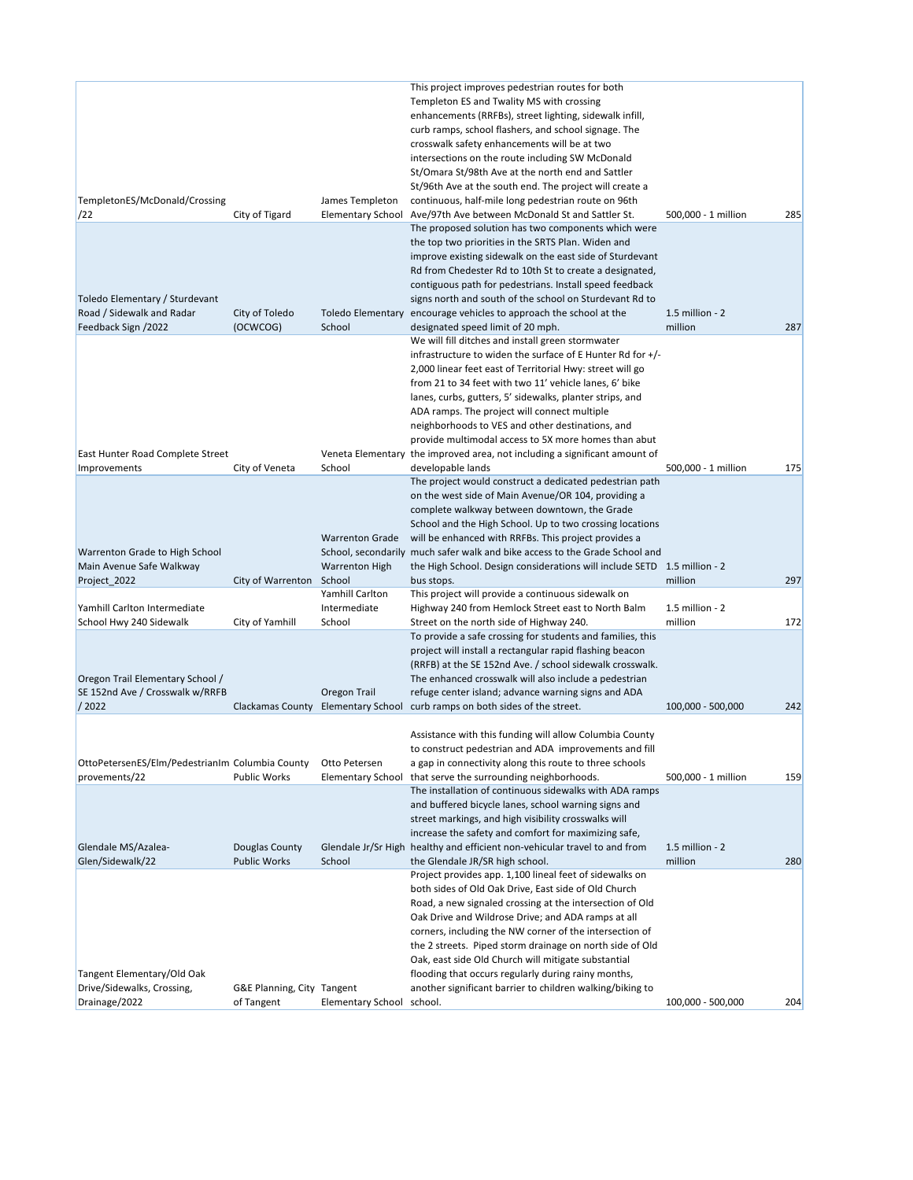|                                                                           |                                          |                                             | This project improves pedestrian routes for both<br>Templeton ES and Twality MS with crossing<br>enhancements (RRFBs), street lighting, sidewalk infill,<br>curb ramps, school flashers, and school signage. The<br>crosswalk safety enhancements will be at two<br>intersections on the route including SW McDonald<br>St/Omara St/98th Ave at the north end and Sattler<br>St/96th Ave at the south end. The project will create a                                                                                                |                            |     |
|---------------------------------------------------------------------------|------------------------------------------|---------------------------------------------|-------------------------------------------------------------------------------------------------------------------------------------------------------------------------------------------------------------------------------------------------------------------------------------------------------------------------------------------------------------------------------------------------------------------------------------------------------------------------------------------------------------------------------------|----------------------------|-----|
| TempletonES/McDonald/Crossing<br>/22                                      | City of Tigard                           | James Templeton<br><b>Elementary School</b> | continuous, half-mile long pedestrian route on 96th<br>Ave/97th Ave between McDonald St and Sattler St.                                                                                                                                                                                                                                                                                                                                                                                                                             | 500,000 - 1 million        | 285 |
| Toledo Elementary / Sturdevant                                            |                                          |                                             | The proposed solution has two components which were<br>the top two priorities in the SRTS Plan. Widen and<br>improve existing sidewalk on the east side of Sturdevant<br>Rd from Chedester Rd to 10th St to create a designated,<br>contiguous path for pedestrians. Install speed feedback<br>signs north and south of the school on Sturdevant Rd to                                                                                                                                                                              |                            |     |
| Road / Sidewalk and Radar<br>Feedback Sign /2022                          | City of Toledo<br>(OCWCOG)               | School                                      | Toledo Elementary encourage vehicles to approach the school at the<br>designated speed limit of 20 mph.                                                                                                                                                                                                                                                                                                                                                                                                                             | 1.5 million - 2<br>million | 287 |
|                                                                           |                                          |                                             | We will fill ditches and install green stormwater<br>infrastructure to widen the surface of E Hunter Rd for +/-<br>2,000 linear feet east of Territorial Hwy: street will go<br>from 21 to 34 feet with two 11' vehicle lanes, 6' bike<br>lanes, curbs, gutters, 5' sidewalks, planter strips, and<br>ADA ramps. The project will connect multiple<br>neighborhoods to VES and other destinations, and<br>provide multimodal access to 5X more homes than abut                                                                      |                            |     |
| East Hunter Road Complete Street<br>Improvements                          | City of Veneta                           | School                                      | Veneta Elementary the improved area, not including a significant amount of<br>developable lands                                                                                                                                                                                                                                                                                                                                                                                                                                     | 500,000 - 1 million        | 175 |
| Warrenton Grade to High School                                            |                                          | <b>Warrenton Grade</b>                      | The project would construct a dedicated pedestrian path<br>on the west side of Main Avenue/OR 104, providing a<br>complete walkway between downtown, the Grade<br>School and the High School. Up to two crossing locations<br>will be enhanced with RRFBs. This project provides a<br>School, secondarily much safer walk and bike access to the Grade School and                                                                                                                                                                   |                            |     |
| Main Avenue Safe Walkway<br>Project_2022                                  | City of Warrenton School                 | <b>Warrenton High</b>                       | the High School. Design considerations will include SETD 1.5 million - 2<br>bus stops.                                                                                                                                                                                                                                                                                                                                                                                                                                              | million                    | 297 |
| Yamhill Carlton Intermediate<br>School Hwy 240 Sidewalk                   | City of Yamhill                          | Yamhill Carlton<br>Intermediate<br>School   | This project will provide a continuous sidewalk on<br>Highway 240 from Hemlock Street east to North Balm<br>Street on the north side of Highway 240.                                                                                                                                                                                                                                                                                                                                                                                | 1.5 million - 2<br>million | 172 |
| Oregon Trail Elementary School /<br>SE 152nd Ave / Crosswalk w/RRFB       |                                          | Oregon Trail                                | To provide a safe crossing for students and families, this<br>project will install a rectangular rapid flashing beacon<br>(RRFB) at the SE 152nd Ave. / school sidewalk crosswalk.<br>The enhanced crosswalk will also include a pedestrian<br>refuge center island; advance warning signs and ADA                                                                                                                                                                                                                                  |                            |     |
| /2022                                                                     |                                          | Clackamas County Elementary School          | curb ramps on both sides of the street.                                                                                                                                                                                                                                                                                                                                                                                                                                                                                             | 100,000 - 500,000          | 242 |
| OttoPetersenES/Elm/PedestrianIm Columbia County<br>provements/22          | <b>Public Works</b>                      | Otto Petersen<br><b>Elementary School</b>   | Assistance with this funding will allow Columbia County<br>to construct pedestrian and ADA improvements and fill<br>a gap in connectivity along this route to three schools<br>that serve the surrounding neighborhoods.                                                                                                                                                                                                                                                                                                            | 500,000 - 1 million        | 159 |
|                                                                           |                                          |                                             | The installation of continuous sidewalks with ADA ramps<br>and buffered bicycle lanes, school warning signs and<br>street markings, and high visibility crosswalks will<br>increase the safety and comfort for maximizing safe,                                                                                                                                                                                                                                                                                                     |                            |     |
| Glendale MS/Azalea-<br>Glen/Sidewalk/22                                   | Douglas County<br><b>Public Works</b>    | School                                      | Glendale Jr/Sr High healthy and efficient non-vehicular travel to and from<br>the Glendale JR/SR high school.                                                                                                                                                                                                                                                                                                                                                                                                                       | 1.5 million - 2<br>million | 280 |
| Tangent Elementary/Old Oak<br>Drive/Sidewalks, Crossing,<br>Drainage/2022 | G&E Planning, City Tangent<br>of Tangent | Elementary School school.                   | Project provides app. 1,100 lineal feet of sidewalks on<br>both sides of Old Oak Drive, East side of Old Church<br>Road, a new signaled crossing at the intersection of Old<br>Oak Drive and Wildrose Drive; and ADA ramps at all<br>corners, including the NW corner of the intersection of<br>the 2 streets. Piped storm drainage on north side of Old<br>Oak, east side Old Church will mitigate substantial<br>flooding that occurs regularly during rainy months,<br>another significant barrier to children walking/biking to | 100,000 - 500,000          | 204 |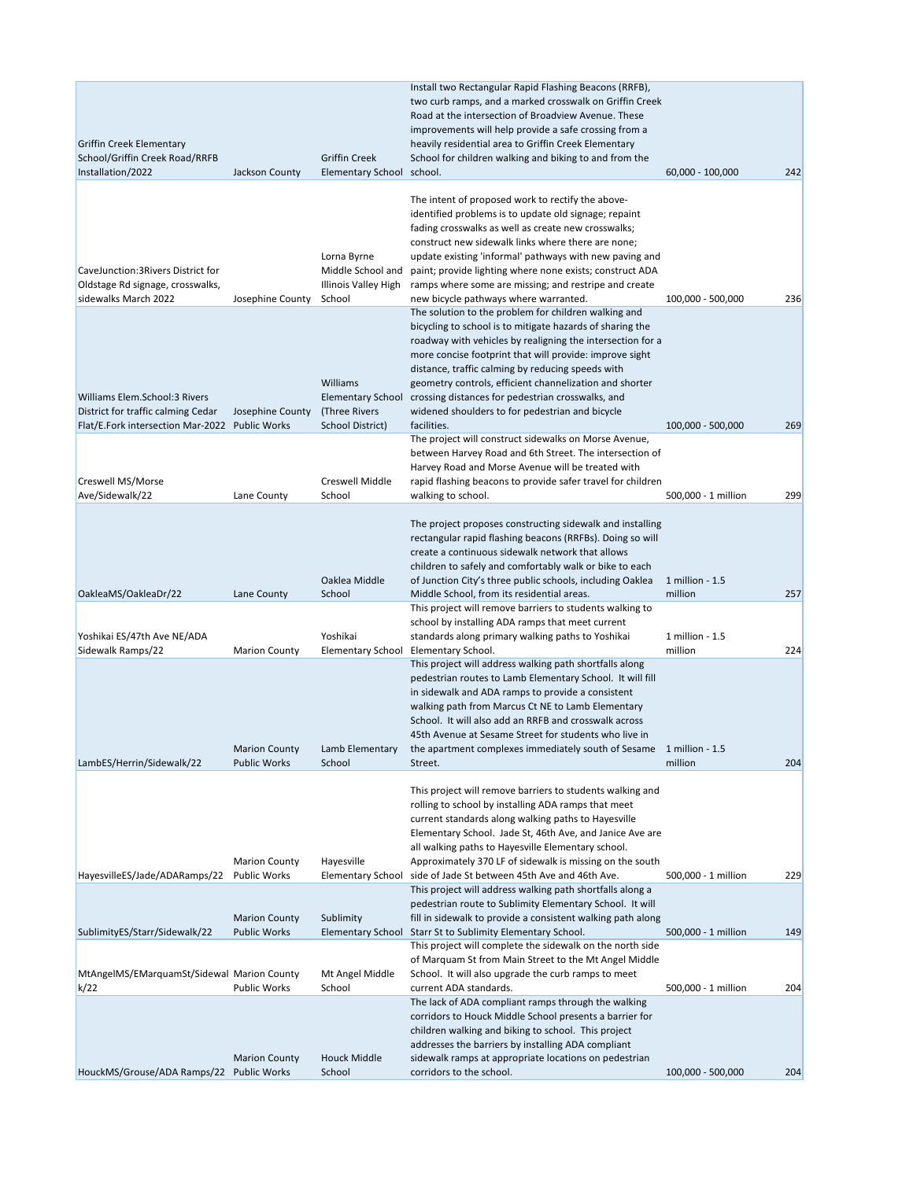|                                                     |                      |                                                  | Install two Rectangular Rapid Flashing Beacons (RRFB),                                                                 |                     |     |
|-----------------------------------------------------|----------------------|--------------------------------------------------|------------------------------------------------------------------------------------------------------------------------|---------------------|-----|
|                                                     |                      |                                                  | two curb ramps, and a marked crosswalk on Griffin Creek                                                                |                     |     |
|                                                     |                      |                                                  | Road at the intersection of Broadview Avenue. These                                                                    |                     |     |
|                                                     |                      |                                                  | improvements will help provide a safe crossing from a                                                                  |                     |     |
| Griffin Creek Elementary                            |                      |                                                  | heavily residential area to Griffin Creek Elementary                                                                   |                     |     |
| School/Griffin Creek Road/RRFB<br>Installation/2022 | Jackson County       | <b>Griffin Creek</b><br><b>Elementary School</b> | School for children walking and biking to and from the<br>school.                                                      | 60,000 - 100,000    | 242 |
|                                                     |                      |                                                  |                                                                                                                        |                     |     |
|                                                     |                      |                                                  | The intent of proposed work to rectify the above-                                                                      |                     |     |
|                                                     |                      |                                                  | identified problems is to update old signage; repaint                                                                  |                     |     |
|                                                     |                      |                                                  | fading crosswalks as well as create new crosswalks;                                                                    |                     |     |
|                                                     |                      |                                                  | construct new sidewalk links where there are none;                                                                     |                     |     |
|                                                     |                      | Lorna Byrne                                      | update existing 'informal' pathways with new paving and                                                                |                     |     |
| CaveJunction: 3 Rivers District for                 |                      | Middle School and                                | paint; provide lighting where none exists; construct ADA                                                               |                     |     |
| Oldstage Rd signage, crosswalks,                    |                      | Illinois Valley High                             | ramps where some are missing; and restripe and create                                                                  |                     |     |
| sidewalks March 2022                                | Josephine County     | School                                           | new bicycle pathways where warranted.                                                                                  | 100,000 - 500,000   | 236 |
|                                                     |                      |                                                  | The solution to the problem for children walking and                                                                   |                     |     |
|                                                     |                      |                                                  | bicycling to school is to mitigate hazards of sharing the                                                              |                     |     |
|                                                     |                      |                                                  | roadway with vehicles by realigning the intersection for a<br>more concise footprint that will provide: improve sight  |                     |     |
|                                                     |                      |                                                  | distance, traffic calming by reducing speeds with                                                                      |                     |     |
|                                                     |                      | Williams                                         | geometry controls, efficient channelization and shorter                                                                |                     |     |
| Williams Elem.School:3 Rivers                       |                      | <b>Elementary School</b>                         | crossing distances for pedestrian crosswalks, and                                                                      |                     |     |
| District for traffic calming Cedar                  | Josephine County     | (Three Rivers                                    | widened shoulders to for pedestrian and bicycle                                                                        |                     |     |
| Flat/E.Fork intersection Mar-2022 Public Works      |                      | <b>School District)</b>                          | facilities.                                                                                                            | 100,000 - 500,000   | 269 |
|                                                     |                      |                                                  | The project will construct sidewalks on Morse Avenue,                                                                  |                     |     |
|                                                     |                      |                                                  | between Harvey Road and 6th Street. The intersection of                                                                |                     |     |
|                                                     |                      |                                                  | Harvey Road and Morse Avenue will be treated with                                                                      |                     |     |
| Creswell MS/Morse                                   |                      | Creswell Middle                                  | rapid flashing beacons to provide safer travel for children                                                            |                     |     |
| Ave/Sidewalk/22                                     | Lane County          | School                                           | walking to school.                                                                                                     | 500,000 - 1 million | 299 |
|                                                     |                      |                                                  |                                                                                                                        |                     |     |
|                                                     |                      |                                                  | The project proposes constructing sidewalk and installing<br>rectangular rapid flashing beacons (RRFBs). Doing so will |                     |     |
|                                                     |                      |                                                  | create a continuous sidewalk network that allows                                                                       |                     |     |
|                                                     |                      |                                                  | children to safely and comfortably walk or bike to each                                                                |                     |     |
|                                                     |                      | Oaklea Middle                                    | of Junction City's three public schools, including Oaklea                                                              | 1 million - 1.5     |     |
| OakleaMS/OakleaDr/22                                | Lane County          | School                                           | Middle School, from its residential areas.                                                                             | million             | 257 |
|                                                     |                      |                                                  | This project will remove barriers to students walking to                                                               |                     |     |
|                                                     |                      |                                                  | school by installing ADA ramps that meet current                                                                       |                     |     |
| Yoshikai ES/47th Ave NE/ADA                         |                      | Yoshikai                                         | standards along primary walking paths to Yoshikai                                                                      | 1 million - 1.5     |     |
| Sidewalk Ramps/22                                   | <b>Marion County</b> | <b>Elementary School</b>                         | Elementary School.                                                                                                     | million             | 224 |
|                                                     |                      |                                                  | This project will address walking path shortfalls along                                                                |                     |     |
|                                                     |                      |                                                  | pedestrian routes to Lamb Elementary School. It will fill                                                              |                     |     |
|                                                     |                      |                                                  | in sidewalk and ADA ramps to provide a consistent<br>walking path from Marcus Ct NE to Lamb Elementary                 |                     |     |
|                                                     |                      |                                                  | School. It will also add an RRFB and crosswalk across                                                                  |                     |     |
|                                                     |                      |                                                  | 45th Avenue at Sesame Street for students who live in                                                                  |                     |     |
|                                                     | <b>Marion County</b> | Lamb Elementary                                  | the apartment complexes immediately south of Sesame 1 million - 1.5                                                    |                     |     |
| LambES/Herrin/Sidewalk/22                           | <b>Public Works</b>  | School                                           | Street.                                                                                                                | million             | 204 |
|                                                     |                      |                                                  |                                                                                                                        |                     |     |
|                                                     |                      |                                                  | This project will remove barriers to students walking and                                                              |                     |     |
|                                                     |                      |                                                  | rolling to school by installing ADA ramps that meet                                                                    |                     |     |
|                                                     |                      |                                                  | current standards along walking paths to Hayesville                                                                    |                     |     |
|                                                     |                      |                                                  | Elementary School. Jade St, 46th Ave, and Janice Ave are                                                               |                     |     |
|                                                     | <b>Marion County</b> | Hayesville                                       | all walking paths to Hayesville Elementary school.<br>Approximately 370 LF of sidewalk is missing on the south         |                     |     |
| HayesvilleES/Jade/ADARamps/22                       | <b>Public Works</b>  | <b>Elementary School</b>                         | side of Jade St between 45th Ave and 46th Ave.                                                                         | 500,000 - 1 million | 229 |
|                                                     |                      |                                                  | This project will address walking path shortfalls along a                                                              |                     |     |
|                                                     |                      |                                                  | pedestrian route to Sublimity Elementary School. It will                                                               |                     |     |
|                                                     | <b>Marion County</b> | Sublimity                                        | fill in sidewalk to provide a consistent walking path along                                                            |                     |     |
| SublimityES/Starr/Sidewalk/22                       | <b>Public Works</b>  | <b>Elementary School</b>                         | Starr St to Sublimity Elementary School.                                                                               | 500,000 - 1 million | 149 |
|                                                     |                      |                                                  | This project will complete the sidewalk on the north side                                                              |                     |     |
|                                                     |                      |                                                  | of Marquam St from Main Street to the Mt Angel Middle                                                                  |                     |     |
| MtAngelMS/EMarquamSt/Sidewal Marion County          |                      | Mt Angel Middle                                  | School. It will also upgrade the curb ramps to meet                                                                    |                     |     |
| k/22                                                | <b>Public Works</b>  | School                                           | current ADA standards.                                                                                                 | 500,000 - 1 million | 204 |
|                                                     |                      |                                                  | The lack of ADA compliant ramps through the walking                                                                    |                     |     |
|                                                     |                      |                                                  | corridors to Houck Middle School presents a barrier for<br>children walking and biking to school. This project         |                     |     |
|                                                     |                      |                                                  | addresses the barriers by installing ADA compliant                                                                     |                     |     |
|                                                     | <b>Marion County</b> | <b>Houck Middle</b>                              | sidewalk ramps at appropriate locations on pedestrian                                                                  |                     |     |
| HouckMS/Grouse/ADA Ramps/22 Public Works            |                      | School                                           | corridors to the school.                                                                                               | 100,000 - 500,000   | 204 |